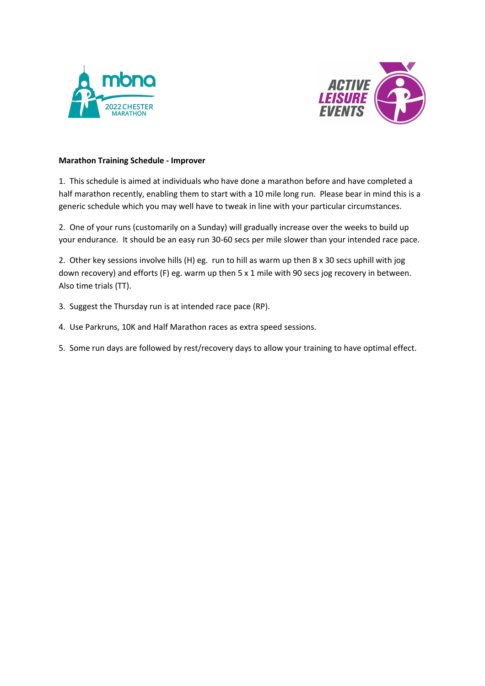



## **Marathon Training Schedule - Improver**

1. This schedule is aimed at individuals who have done a marathon before and have completed a half marathon recently, enabling them to start with a 10 mile long run. Please bear in mind this is a generic schedule which you may well have to tweak in line with your particular circumstances.

2. One of your runs (customarily on a Sunday) will gradually increase over the weeks to build up your endurance. It should be an easy run 30-60 secs per mile slower than your intended race pace.

2. Other key sessions involve hills (H) eg. run to hill as warm up then 8 x 30 secs uphill with jog down recovery) and efforts (F) eg. warm up then 5 x 1 mile with 90 secs jog recovery in between. Also time trials (TT).

- 3. Suggest the Thursday run is at intended race pace (RP).
- 4. Use Parkruns, 10K and Half Marathon races as extra speed sessions.
- 5. Some run days are followed by rest/recovery days to allow your training to have optimal effect.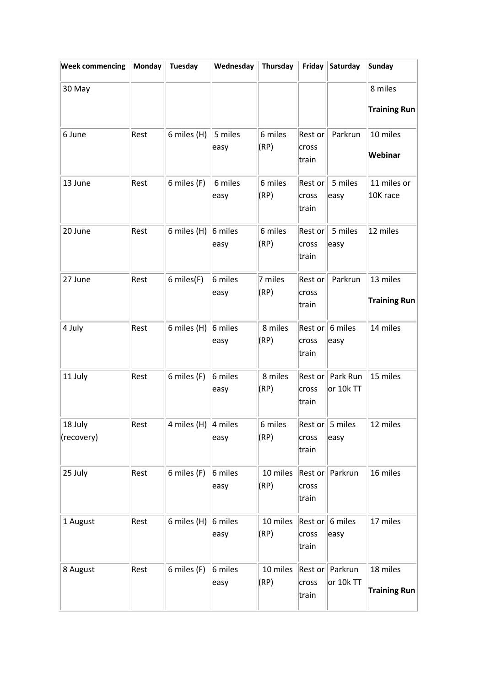| <b>Week commencing</b> | <b>Monday</b> | Tuesday                | Wednesday       | Thursday         | Friday                    | Saturday                        | <b>Sunday</b>                   |
|------------------------|---------------|------------------------|-----------------|------------------|---------------------------|---------------------------------|---------------------------------|
| 30 May                 |               |                        |                 |                  |                           |                                 | 8 miles<br><b>Training Run</b>  |
| 6 June                 | Rest          | 6 miles (H)            | 5 miles<br>easy | 6 miles<br>(RP)  | Rest or<br>cross<br>train | Parkrun                         | 10 miles<br>Webinar             |
| 13 June                | Rest          | 6 miles (F)            | 6 miles<br>easy | 6 miles<br>(RP)  | Rest or<br>cross<br>train | 5 miles<br>easy                 | 11 miles or<br>10K race         |
| 20 June                | Rest          | 6 miles (H)            | 6 miles<br>easy | 6 miles<br>(RP)  | Rest or<br>cross<br>train | 5 miles<br>easy                 | 12 miles                        |
| 27 June                | Rest          | 6 miles(F)             | 6 miles<br>easy | 7 miles<br>(RP)  | Rest or<br>cross<br>train | Parkrun                         | 13 miles<br><b>Training Run</b> |
| 4 July                 | Rest          | 6 miles (H)            | 6 miles<br>easy | 8 miles<br>(RP)  | cross<br>train            | Rest or $6$ miles<br>easy       | 14 miles                        |
| 11 July                | Rest          | 6 miles (F)            | 6 miles<br>easy | 8 miles<br>(RP)  | cross<br>train            | Rest or   Park Run<br>or 10k TT | 15 miles                        |
| 18 July<br>(recovery)  | Rest          | 4 miles (H) $ 4$ miles | easy            | 6 miles<br>(RP)  | cross<br>train            | Rest or $ 5$ miles<br>easy      | 12 miles                        |
| 25 July                | Rest          | 6 miles (F)            | 6 miles<br>easy | 10 miles<br>(RP) | cross<br>train            | Rest or Parkrun                 | 16 miles                        |
| 1 August               | Rest          | 6 miles (H)            | 6 miles<br>easy | 10 miles<br>(RP) | cross<br>train            | Rest or $6$ miles<br>easy       | 17 miles                        |
| 8 August               | Rest          | 6 miles (F)            | 6 miles<br>easy | 10 miles<br>(RP) | cross<br>train            | Rest or Parkrun<br>or 10k TT    | 18 miles<br><b>Training Run</b> |